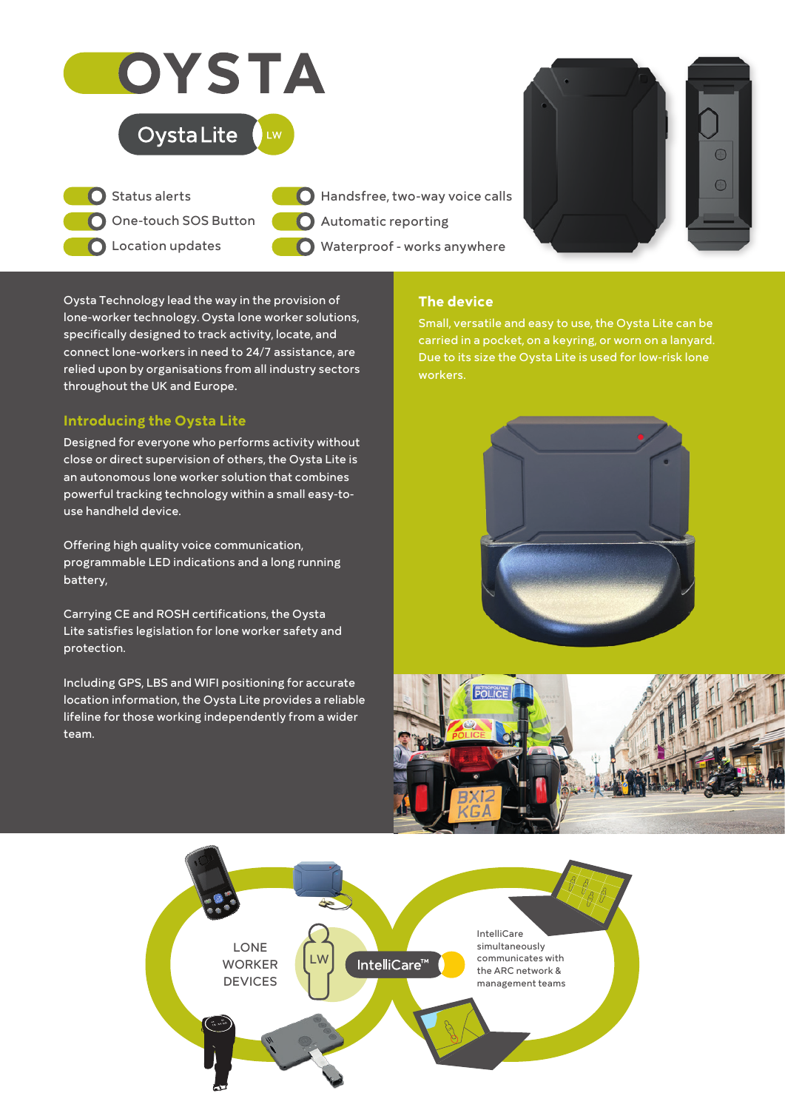

Oysta Technology lead the way in the provision of lone-worker technology. Oysta lone worker solutions, specifically designed to track activity, locate, and connect lone-workers in need to 24/7 assistance, are relied upon by organisations from all industry sectors throughout the UK and Europe.

# **Introducing the Oysta Lite**

Designed for everyone who performs activity without close or direct supervision of others, the Oysta Lite is an autonomous lone worker solution that combines powerful tracking technology within a small easy-touse handheld device.

Offering high quality voice communication, programmable LED indications and a long running battery,

Carrying CE and ROSH certifications, the Oysta Lite satisfies legislation for lone worker safety and protection.

Including GPS, LBS and WIFI positioning for accurate location information, the Oysta Lite provides a reliable lifeline for those working independently from a wider team.

## **The device**

Small, versatile and easy to use, the Oysta Lite can be carried in a pocket, on a keyring, or worn on a lanyard. Due to its size the Oysta Lite is used for low-risk lone workers.